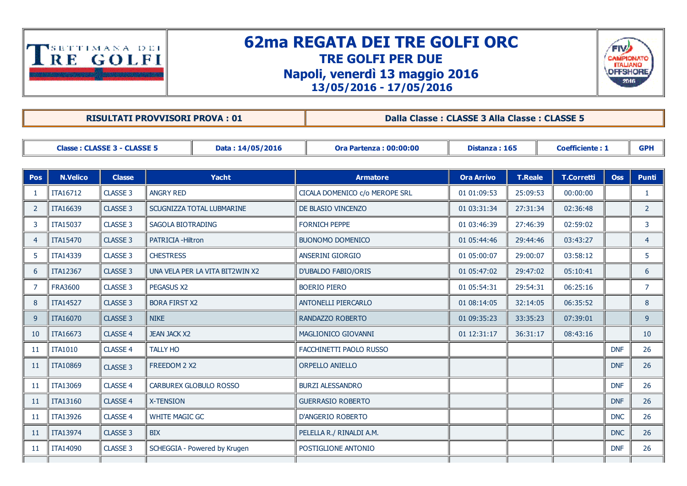

## 62ma REGATA DEI TRE GOLFI ORC TRE GOLFI PER DUE Napoli, venerdì 13 maggio 2016 13/05/2016 17/05/2016



RISULTATI PROVVISORI PROVA : 01 Dalla Classe : CLASSE 3 Alla Classe : CLASSE 5

| <b>Classe: CLASSE 3 - CLASSE 5</b><br>Data: 14/05/2016 |                 |               |                                 |              |  | <b>Ora Partenza: 00:00:00</b>  | Distanza: 165     |                | <b>Coefficiente: 1</b> |            | <b>GPH</b>     |
|--------------------------------------------------------|-----------------|---------------|---------------------------------|--------------|--|--------------------------------|-------------------|----------------|------------------------|------------|----------------|
|                                                        |                 |               |                                 |              |  |                                |                   |                |                        |            |                |
| <b>Pos</b>                                             | <b>N.Velico</b> | <b>Classe</b> |                                 | <b>Yacht</b> |  | <b>Armatore</b>                | <b>Ora Arrivo</b> | <b>T.Reale</b> | <b>T.Corretti</b>      | <b>Oss</b> | <b>Punti</b>   |
| -1                                                     | ITA16712        | CLASSE 3      | <b>ANGRY RED</b>                |              |  | CICALA DOMENICO c/o MEROPE SRL | 01 01:09:53       | 25:09:53       | 00:00:00               |            | 1              |
| $\overline{2}$                                         | ITA16639        | CLASSE 3      | SCUGNIZZA TOTAL LUBMARINE       |              |  | DE BLASIO VINCENZO             | 01 03:31:34       | 27:31:34       | 02:36:48               |            | $\overline{2}$ |
| 3                                                      | <b>ITA15037</b> | CLASSE 3      | SAGOLA BIOTRADING               |              |  | <b>FORNICH PEPPE</b>           | 01 03:46:39       | 27:46:39       | 02:59:02               |            | 3              |
| 4                                                      | ITA15470        | CLASSE 3      | PATRICIA - Hiltron              |              |  | <b>BUONOMO DOMENICO</b>        | 01 05:44:46       | 29:44:46       | 03:43:27               |            | $\overline{4}$ |
| 5                                                      | ITA14339        | CLASSE 3      | <b>CHESTRESS</b>                |              |  | ANSERINI GIORGIO               | 01 05:00:07       | 29:00:07       | 03:58:12               |            | 5              |
| 6                                                      | <b>ITA12367</b> | CLASSE 3      | UNA VELA PER LA VITA BIT2WIN X2 |              |  | <b>D'UBALDO FABIO/ORIS</b>     | 01 05:47:02       | 29:47:02       | 05:10:41               |            | 6              |
| 7                                                      | <b>FRA3600</b>  | CLASSE 3      | <b>PEGASUS X2</b>               |              |  | <b>BOERIO PIERO</b>            | 01 05:54:31       | 29:54:31       | 06:25:16               |            | $\overline{7}$ |
| 8                                                      | <b>ITA14527</b> | CLASSE 3      | <b>BORA FIRST X2</b>            |              |  | <b>ANTONELLI PIERCARLO</b>     | 01 08:14:05       | 32:14:05       | 06:35:52               |            | 8              |
| 9                                                      | ITA16070        | CLASSE 3      | <b>NIKE</b>                     |              |  | RANDAZZO ROBERTO               | 01 09:35:23       | 33:35:23       | 07:39:01               |            | 9              |
| 10                                                     | ITA16673        | CLASSE 4      | <b>JEAN JACK X2</b>             |              |  | MAGLIONICO GIOVANNI            | 01 12:31:17       | 36:31:17       | 08:43:16               |            | 10             |
| 11                                                     | <b>ITA1010</b>  | CLASSE 4      | <b>TALLY HO</b>                 |              |  | FACCHINETTI PAOLO RUSSO        |                   |                |                        | <b>DNF</b> | 26             |
| 11                                                     | <b>ITA10869</b> | CLASSE 3      | FREEDOM 2 X2                    |              |  | <b>ORPELLO ANIELLO</b>         |                   |                |                        | <b>DNF</b> | 26             |
| -11                                                    | <b>ITA13069</b> | CLASSE 4      | CARBUREX GLOBULO ROSSO          |              |  | <b>BURZI ALESSANDRO</b>        |                   |                |                        | <b>DNF</b> | 26             |
| -11                                                    | ITA13160        | CLASSE 4      | <b>X-TENSION</b>                |              |  | <b>GUERRASIO ROBERTO</b>       |                   |                |                        | <b>DNF</b> | 26             |
| 11                                                     | ITA13926        | CLASSE 4      | <b>WHITE MAGIC GC</b>           |              |  | D'ANGERIO ROBERTO              |                   |                |                        | <b>DNC</b> | 26             |
| <sup>11</sup>                                          | ITA13974        | CLASSE 3      | <b>BIX</b>                      |              |  | PELELLA R./ RINALDI A.M.       |                   |                |                        | <b>DNC</b> | 26             |
| -11                                                    | ITA14090        | CLASSE 3      | SCHEGGIA - Powered by Krugen    |              |  | POSTIGLIONE ANTONIO            |                   |                |                        | <b>DNF</b> | 26             |
|                                                        |                 |               |                                 |              |  |                                |                   |                |                        |            |                |